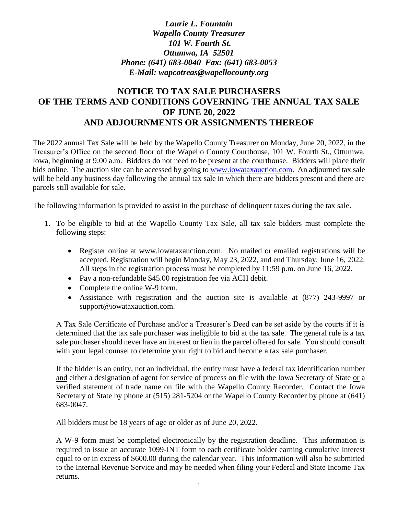## *Laurie L. Fountain Wapello County Treasurer 101 W. Fourth St. Ottumwa, IA 52501 Phone: (641) 683-0040 Fax: (641) 683-0053 E-Mail: wapcotreas@wapellocounty.org*

# **NOTICE TO TAX SALE PURCHASERS OF THE TERMS AND CONDITIONS GOVERNING THE ANNUAL TAX SALE OF JUNE 20, 2022 AND ADJOURNMENTS OR ASSIGNMENTS THEREOF**

The 2022 annual Tax Sale will be held by the Wapello County Treasurer on Monday, June 20, 2022, in the Treasurer's Office on the second floor of the Wapello County Courthouse, 101 W. Fourth St., Ottumwa, Iowa, beginning at 9:00 a.m. Bidders do not need to be present at the courthouse. Bidders will place their bids online. The auction site can be accessed by going to [www.iowataxauction.com.](http://www.iowataxauction.com/) An adjourned tax sale will be held any business day following the annual tax sale in which there are bidders present and there are parcels still available for sale.

The following information is provided to assist in the purchase of delinquent taxes during the tax sale.

- 1. To be eligible to bid at the Wapello County Tax Sale, all tax sale bidders must complete the following steps:
	- Register online at www.iowataxauction.com. No mailed or emailed registrations will be accepted. Registration will begin Monday, May 23, 2022, and end Thursday, June 16, 2022. All steps in the registration process must be completed by 11:59 p.m. on June 16, 2022.
	- Pay a non-refundable \$45.00 registration fee via ACH debit.
	- Complete the online W-9 form.
	- Assistance with registration and the auction site is available at (877) 243-9997 or support@iowataxauction.com.

A Tax Sale Certificate of Purchase and/or a Treasurer's Deed can be set aside by the courts if it is determined that the tax sale purchaser was ineligible to bid at the tax sale. The general rule is a tax sale purchaser should never have an interest or lien in the parcel offered for sale. You should consult with your legal counsel to determine your right to bid and become a tax sale purchaser.

If the bidder is an entity, not an individual, the entity must have a federal tax identification number and either a designation of agent for service of process on file with the Iowa Secretary of State or a verified statement of trade name on file with the Wapello County Recorder. Contact the Iowa Secretary of State by phone at (515) 281-5204 or the Wapello County Recorder by phone at (641) 683-0047.

All bidders must be 18 years of age or older as of June 20, 2022.

A W-9 form must be completed electronically by the registration deadline. This information is required to issue an accurate 1099-INT form to each certificate holder earning cumulative interest equal to or in excess of \$600.00 during the calendar year. This information will also be submitted to the Internal Revenue Service and may be needed when filing your Federal and State Income Tax returns.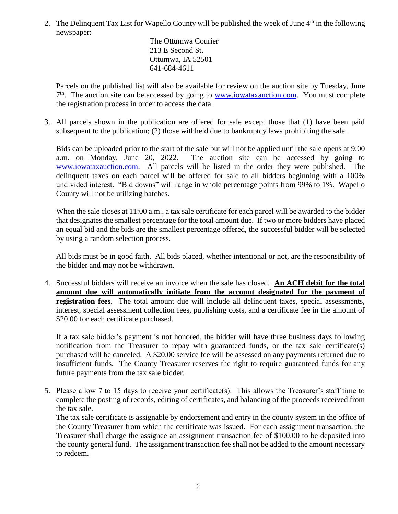2. The Delinquent Tax List for Wapello County will be published the week of June  $4<sup>th</sup>$  in the following newspaper:

> The Ottumwa Courier 213 E Second St. Ottumwa, IA 52501 641-684-4611

Parcels on the published list will also be available for review on the auction site by Tuesday, June 7<sup>th</sup>. The auction site can be accessed by going to **www.iowataxauction.com**. You must complete the registration process in order to access the data.

3. All parcels shown in the publication are offered for sale except those that (1) have been paid subsequent to the publication; (2) those withheld due to bankruptcy laws prohibiting the sale.

Bids can be uploaded prior to the start of the sale but will not be applied until the sale opens at 9:00 a.m. on Monday, June 20, 2022. The auction site can be accessed by going to The auction site can be accessed by going to [www.iowataxauction.com.](http://www.iowataxauction.com/) All parcels will be listed in the order they were published. The delinquent taxes on each parcel will be offered for sale to all bidders beginning with a 100% undivided interest. "Bid downs" will range in whole percentage points from 99% to 1%. Wapello County will not be utilizing batches.

When the sale closes at 11:00 a.m., a tax sale certificate for each parcel will be awarded to the bidder that designates the smallest percentage for the total amount due. If two or more bidders have placed an equal bid and the bids are the smallest percentage offered, the successful bidder will be selected by using a random selection process.

All bids must be in good faith. All bids placed, whether intentional or not, are the responsibility of the bidder and may not be withdrawn.

4. Successful bidders will receive an invoice when the sale has closed. **An ACH debit for the total amount due will automatically initiate from the account designated for the payment of registration fees**. The total amount due will include all delinquent taxes, special assessments, interest, special assessment collection fees, publishing costs, and a certificate fee in the amount of \$20.00 for each certificate purchased.

If a tax sale bidder's payment is not honored, the bidder will have three business days following notification from the Treasurer to repay with guaranteed funds, or the tax sale certificate(s) purchased will be canceled. A \$20.00 service fee will be assessed on any payments returned due to insufficient funds. The County Treasurer reserves the right to require guaranteed funds for any future payments from the tax sale bidder.

5. Please allow 7 to 15 days to receive your certificate(s). This allows the Treasurer's staff time to complete the posting of records, editing of certificates, and balancing of the proceeds received from the tax sale.

The tax sale certificate is assignable by endorsement and entry in the county system in the office of the County Treasurer from which the certificate was issued. For each assignment transaction, the Treasurer shall charge the assignee an assignment transaction fee of \$100.00 to be deposited into the county general fund. The assignment transaction fee shall not be added to the amount necessary to redeem.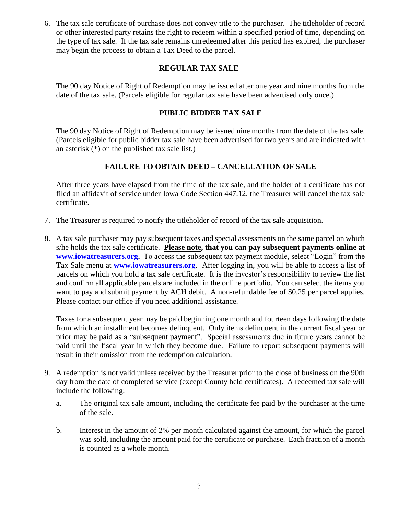6. The tax sale certificate of purchase does not convey title to the purchaser. The titleholder of record or other interested party retains the right to redeem within a specified period of time, depending on the type of tax sale. If the tax sale remains unredeemed after this period has expired, the purchaser may begin the process to obtain a Tax Deed to the parcel.

#### **REGULAR TAX SALE**

The 90 day Notice of Right of Redemption may be issued after one year and nine months from the date of the tax sale. (Parcels eligible for regular tax sale have been advertised only once.)

#### **PUBLIC BIDDER TAX SALE**

The 90 day Notice of Right of Redemption may be issued nine months from the date of the tax sale. (Parcels eligible for public bidder tax sale have been advertised for two years and are indicated with an asterisk (\*) on the published tax sale list.)

### **FAILURE TO OBTAIN DEED – CANCELLATION OF SALE**

After three years have elapsed from the time of the tax sale, and the holder of a certificate has not filed an affidavit of service under Iowa Code Section 447.12, the Treasurer will cancel the tax sale certificate.

- 7. The Treasurer is required to notify the titleholder of record of the tax sale acquisition.
- 8. A tax sale purchaser may pay subsequent taxes and special assessments on the same parcel on which s/he holds the tax sale certificate. **Please note, that you can pay subsequent payments online at [www.iowatreasurers.org.](http://www.iowatreasurers.org/)** To access the subsequent tax payment module, select "Login" from the Tax Sale menu at **[www.iowatreasurers.org](http://www.iowatreasurers.org/)**.After logging in, you will be able to access a list of parcels on which you hold a tax sale certificate. It is the investor's responsibility to review the list and confirm all applicable parcels are included in the online portfolio. You can select the items you want to pay and submit payment by ACH debit. A non-refundable fee of \$0.25 per parcel applies. Please contact our office if you need additional assistance.

Taxes for a subsequent year may be paid beginning one month and fourteen days following the date from which an installment becomes delinquent. Only items delinquent in the current fiscal year or prior may be paid as a "subsequent payment". Special assessments due in future years cannot be paid until the fiscal year in which they become due. Failure to report subsequent payments will result in their omission from the redemption calculation.

- 9. A redemption is not valid unless received by the Treasurer prior to the close of business on the 90th day from the date of completed service (except County held certificates). A redeemed tax sale will include the following:
	- a. The original tax sale amount, including the certificate fee paid by the purchaser at the time of the sale.
	- b. Interest in the amount of 2% per month calculated against the amount, for which the parcel was sold, including the amount paid for the certificate or purchase. Each fraction of a month is counted as a whole month.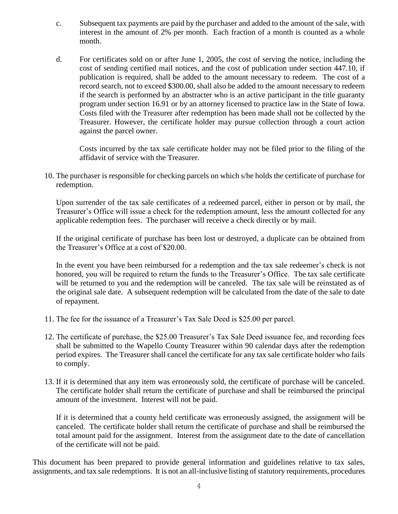- c. Subsequent tax payments are paid by the purchaser and added to the amount of the sale, with interest in the amount of 2% per month. Each fraction of a month is counted as a whole month.
- d. For certificates sold on or after June 1, 2005, the cost of serving the notice, including the cost of sending certified mail notices, and the cost of publication under section 447.10, if publication is required, shall be added to the amount necessary to redeem. The cost of a record search, not to exceed \$300.00, shall also be added to the amount necessary to redeem if the search is performed by an abstracter who is an active participant in the title guaranty program under section 16.91 or by an attorney licensed to practice law in the State of Iowa. Costs filed with the Treasurer after redemption has been made shall not be collected by the Treasurer. However, the certificate holder may pursue collection through a court action against the parcel owner.

Costs incurred by the tax sale certificate holder may not be filed prior to the filing of the affidavit of service with the Treasurer.

10. The purchaser is responsible for checking parcels on which s/he holds the certificate of purchase for redemption.

Upon surrender of the tax sale certificates of a redeemed parcel, either in person or by mail, the Treasurer's Office will issue a check for the redemption amount, less the amount collected for any applicable redemption fees. The purchaser will receive a check directly or by mail.

If the original certificate of purchase has been lost or destroyed, a duplicate can be obtained from the Treasurer's Office at a cost of \$20.00.

In the event you have been reimbursed for a redemption and the tax sale redeemer's check is not honored, you will be required to return the funds to the Treasurer's Office. The tax sale certificate will be returned to you and the redemption will be canceled. The tax sale will be reinstated as of the original sale date. A subsequent redemption will be calculated from the date of the sale to date of repayment.

- 11. The fee for the issuance of a Treasurer's Tax Sale Deed is \$25.00 per parcel.
- 12. The certificate of purchase, the \$25.00 Treasurer's Tax Sale Deed issuance fee, and recording fees shall be submitted to the Wapello County Treasurer within 90 calendar days after the redemption period expires. The Treasurer shall cancel the certificate for any tax sale certificate holder who fails to comply.
- 13. If it is determined that any item was erroneously sold, the certificate of purchase will be canceled. The certificate holder shall return the certificate of purchase and shall be reimbursed the principal amount of the investment. Interest will not be paid.

If it is determined that a county held certificate was erroneously assigned, the assignment will be canceled. The certificate holder shall return the certificate of purchase and shall be reimbursed the total amount paid for the assignment. Interest from the assignment date to the date of cancellation of the certificate will not be paid.

This document has been prepared to provide general information and guidelines relative to tax sales, assignments, and tax sale redemptions. It is not an all-inclusive listing of statutory requirements, procedures